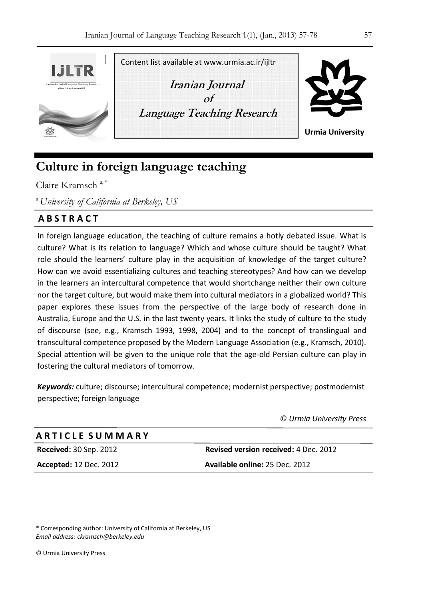

# **Culture in foreign language teaching**

Claire Kramsch<sup>a,\*</sup>

<sup>a</sup>*University of California at Berkeley, US*

## **A B S T R A C T**

In foreign language education, the teaching of culture remains a hotly debated issue. What is culture? What is its relation to language? Which and whose culture should be taught? What role should the learners' culture play in the acquisition of knowledge of the target culture? How can we avoid essentializing cultures and teaching stereotypes? And how can we develop in the learners an intercultural competence that would shortchange neither their own culture nor the target culture, but would make them into cultural mediators in a globalized world? This paper explores these issues from the perspective of the large body of research done in Australia, Europe and the U.S. in the last twenty years. It links the study of culture to the study of discourse (see, e.g., Kramsch 1993, 1998, 2004) and to the concept of translingual and transcultural competence proposed by the Modern Language Association (e.g., Kramsch, 2010). Special attention will be given to the unique role that the age-old Persian culture can play in fostering the cultural mediators of tomorrow.

*Keywords:* culture; discourse; intercultural competence; modernist perspective; postmodernist perspective; foreign language

*© Urmia University Press* 

# **Received:** 30 Sep. 2012 **Revised version received:** 4 Dec. 2012 **Accepted:** 12 Dec. 2012 **Available online:** 25 Dec. 2012 **A R T I C L E S U M M A R Y**

\* Corresponding author: University of California at Berkeley, US *Email address: ckramsch@berkeley.edu*

© Urmia University Press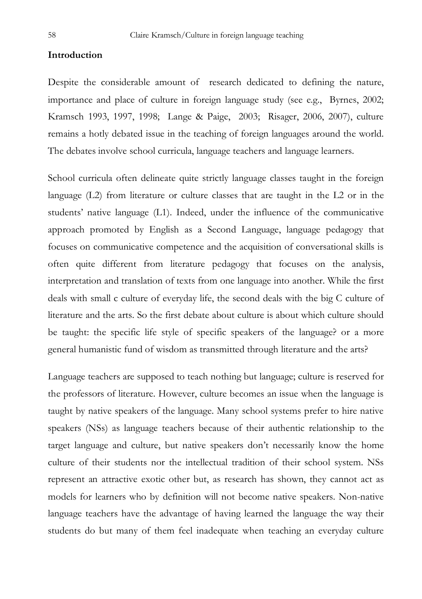### **Introduction**

Despite the considerable amount of research dedicated to defining the nature, importance and place of culture in foreign language study (see e.g., Byrnes, 2002; Kramsch 1993, 1997, 1998; Lange & Paige, 2003; Risager, 2006, 2007), culture remains a hotly debated issue in the teaching of foreign languages around the world. The debates involve school curricula, language teachers and language learners.

School curricula often delineate quite strictly language classes taught in the foreign language (L2) from literature or culture classes that are taught in the L2 or in the students' native language (L1). Indeed, under the influence of the communicative approach promoted by English as a Second Language, language pedagogy that focuses on communicative competence and the acquisition of conversational skills is often quite different from literature pedagogy that focuses on the analysis, interpretation and translation of texts from one language into another. While the first deals with small c culture of everyday life, the second deals with the big C culture of literature and the arts. So the first debate about culture is about which culture should be taught: the specific life style of specific speakers of the language? or a more general humanistic fund of wisdom as transmitted through literature and the arts?

Language teachers are supposed to teach nothing but language; culture is reserved for the professors of literature. However, culture becomes an issue when the language is taught by native speakers of the language. Many school systems prefer to hire native speakers (NSs) as language teachers because of their authentic relationship to the target language and culture, but native speakers don't necessarily know the home culture of their students nor the intellectual tradition of their school system. NSs represent an attractive exotic other but, as research has shown, they cannot act as models for learners who by definition will not become native speakers. Non-native language teachers have the advantage of having learned the language the way their students do but many of them feel inadequate when teaching an everyday culture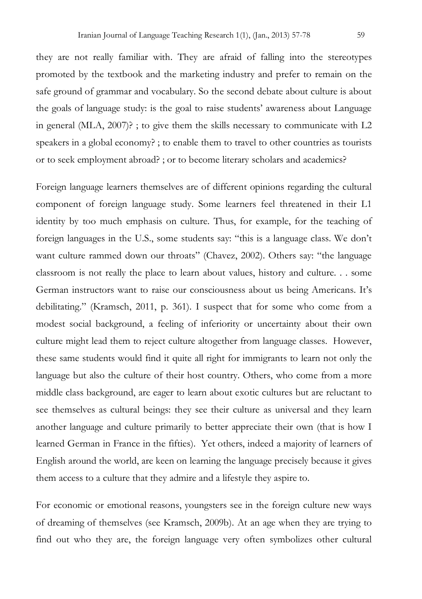they are not really familiar with. They are afraid of falling into the stereotypes promoted by the textbook and the marketing industry and prefer to remain on the safe ground of grammar and vocabulary. So the second debate about culture is about the goals of language study: is the goal to raise students' awareness about Language in general (MLA, 2007)? ; to give them the skills necessary to communicate with L2 speakers in a global economy? ; to enable them to travel to other countries as tourists or to seek employment abroad? ; or to become literary scholars and academics?

Foreign language learners themselves are of different opinions regarding the cultural component of foreign language study. Some learners feel threatened in their L1 identity by too much emphasis on culture. Thus, for example, for the teaching of foreign languages in the U.S., some students say: "this is a language class. We don't want culture rammed down our throats" (Chavez, 2002). Others say: "the language classroom is not really the place to learn about values, history and culture. . . some German instructors want to raise our consciousness about us being Americans. It's debilitating." (Kramsch, 2011, p. 361). I suspect that for some who come from a modest social background, a feeling of inferiority or uncertainty about their own culture might lead them to reject culture altogether from language classes. However, these same students would find it quite all right for immigrants to learn not only the language but also the culture of their host country. Others, who come from a more middle class background, are eager to learn about exotic cultures but are reluctant to see themselves as cultural beings: they see their culture as universal and they learn another language and culture primarily to better appreciate their own (that is how I learned German in France in the fifties). Yet others, indeed a majority of learners of English around the world, are keen on learning the language precisely because it gives them access to a culture that they admire and a lifestyle they aspire to.

For economic or emotional reasons, youngsters see in the foreign culture new ways of dreaming of themselves (see Kramsch, 2009b). At an age when they are trying to find out who they are, the foreign language very often symbolizes other cultural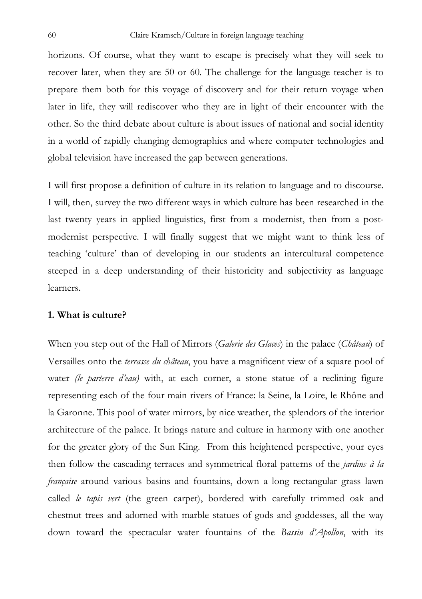horizons. Of course, what they want to escape is precisely what they will seek to recover later, when they are 50 or 60. The challenge for the language teacher is to prepare them both for this voyage of discovery and for their return voyage when later in life, they will rediscover who they are in light of their encounter with the other. So the third debate about culture is about issues of national and social identity in a world of rapidly changing demographics and where computer technologies and global television have increased the gap between generations.

I will first propose a definition of culture in its relation to language and to discourse. I will, then, survey the two different ways in which culture has been researched in the last twenty years in applied linguistics, first from a modernist, then from a postmodernist perspective. I will finally suggest that we might want to think less of teaching 'culture' than of developing in our students an intercultural competence steeped in a deep understanding of their historicity and subjectivity as language learners.

#### **1. What is culture?**

When you step out of the Hall of Mirrors (*Galerie des Glaces*) in the palace (*Château*) of Versailles onto the *terrasse du château*, you have a magnificent view of a square pool of water *(le parterre d'eau)* with, at each corner, a stone statue of a reclining figure representing each of the four main rivers of France: la Seine, la Loire, le Rhône and la Garonne. This pool of water mirrors, by nice weather, the splendors of the interior architecture of the palace. It brings nature and culture in harmony with one another for the greater glory of the Sun King. From this heightened perspective, your eyes then follow the cascading terraces and symmetrical floral patterns of the *jardins à la française* around various basins and fountains, down a long rectangular grass lawn called *le tapis vert* (the green carpet), bordered with carefully trimmed oak and chestnut trees and adorned with marble statues of gods and goddesses, all the way down toward the spectacular water fountains of the *Bassin d'Apollon*, with its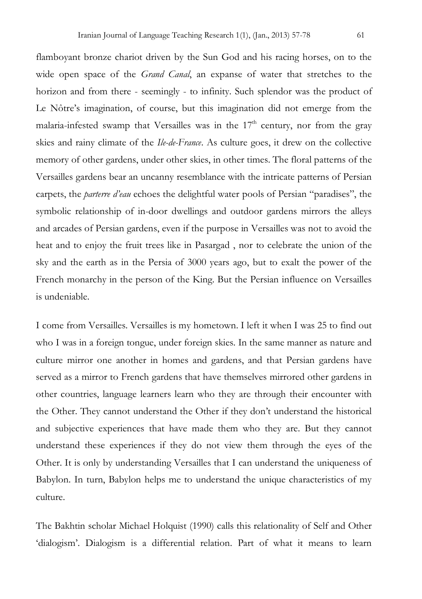flamboyant bronze chariot driven by the Sun God and his racing horses, on to the wide open space of the *Grand Canal*, an expanse of water that stretches to the horizon and from there - seemingly - to infinity. Such splendor was the product of Le Nôtre's imagination, of course, but this imagination did not emerge from the malaria-infested swamp that Versailles was in the  $17<sup>th</sup>$  century, nor from the gray skies and rainy climate of the *Ile-de-France*. As culture goes, it drew on the collective memory of other gardens, under other skies, in other times. The floral patterns of the Versailles gardens bear an uncanny resemblance with the intricate patterns of Persian carpets, the *parterre d'eau* echoes the delightful water pools of Persian "paradises", the symbolic relationship of in-door dwellings and outdoor gardens mirrors the alleys and arcades of Persian gardens, even if the purpose in Versailles was not to avoid the heat and to enjoy the fruit trees like in Pasargad , nor to celebrate the union of the sky and the earth as in the Persia of 3000 years ago, but to exalt the power of the French monarchy in the person of the King. But the Persian influence on Versailles is undeniable.

I come from Versailles. Versailles is my hometown. I left it when I was 25 to find out who I was in a foreign tongue, under foreign skies. In the same manner as nature and culture mirror one another in homes and gardens, and that Persian gardens have served as a mirror to French gardens that have themselves mirrored other gardens in other countries, language learners learn who they are through their encounter with the Other. They cannot understand the Other if they don't understand the historical and subjective experiences that have made them who they are. But they cannot understand these experiences if they do not view them through the eyes of the Other. It is only by understanding Versailles that I can understand the uniqueness of Babylon. In turn, Babylon helps me to understand the unique characteristics of my culture.

The Bakhtin scholar Michael Holquist (1990) calls this relationality of Self and Other 'dialogism'. Dialogism is a differential relation. Part of what it means to learn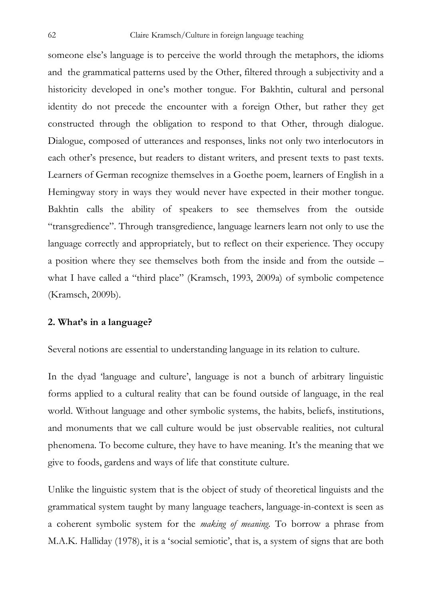someone else's language is to perceive the world through the metaphors, the idioms and the grammatical patterns used by the Other, filtered through a subjectivity and a historicity developed in one's mother tongue. For Bakhtin, cultural and personal identity do not precede the encounter with a foreign Other, but rather they get constructed through the obligation to respond to that Other, through dialogue. Dialogue, composed of utterances and responses, links not only two interlocutors in each other's presence, but readers to distant writers, and present texts to past texts. Learners of German recognize themselves in a Goethe poem, learners of English in a Hemingway story in ways they would never have expected in their mother tongue. Bakhtin calls the ability of speakers to see themselves from the outside "transgredience". Through transgredience, language learners learn not only to use the language correctly and appropriately, but to reflect on their experience. They occupy a position where they see themselves both from the inside and from the outside – what I have called a "third place" (Kramsch, 1993, 2009a) of symbolic competence (Kramsch, 2009b).

#### **2. What's in a language?**

Several notions are essential to understanding language in its relation to culture.

In the dyad 'language and culture', language is not a bunch of arbitrary linguistic forms applied to a cultural reality that can be found outside of language, in the real world. Without language and other symbolic systems, the habits, beliefs, institutions, and monuments that we call culture would be just observable realities, not cultural phenomena. To become culture, they have to have meaning. It's the meaning that we give to foods, gardens and ways of life that constitute culture.

Unlike the linguistic system that is the object of study of theoretical linguists and the grammatical system taught by many language teachers, language-in-context is seen as a coherent symbolic system for the *making of meaning*. To borrow a phrase from M.A.K. Halliday (1978), it is a 'social semiotic', that is, a system of signs that are both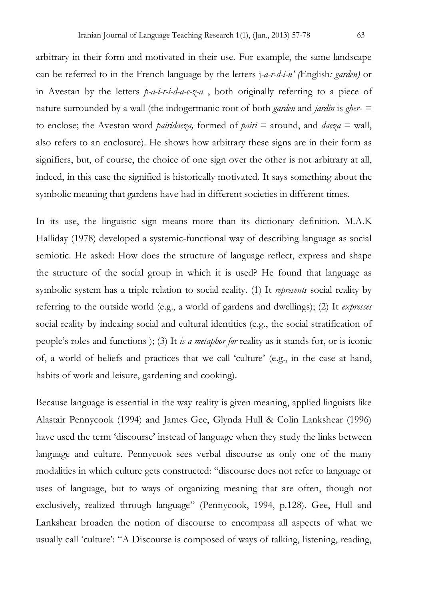arbitrary in their form and motivated in their use. For example, the same landscape can be referred to in the French language by the letters j*-a-r-d-i-n' (*English*: garden)* or in Avestan by the letters *p-a-i-r-i-d-a-e-z-a* , both originally referring to a piece of nature surrounded by a wall (the indogermanic root of both *garden* and *jardin* is *gher*- = to enclose; the Avestan word *pairidaeza,* formed of *pairi* = around, and *daeza* = wall, also refers to an enclosure). He shows how arbitrary these signs are in their form as signifiers, but, of course, the choice of one sign over the other is not arbitrary at all, indeed, in this case the signified is historically motivated. It says something about the symbolic meaning that gardens have had in different societies in different times.

In its use, the linguistic sign means more than its dictionary definition. M.A.K Halliday (1978) developed a systemic-functional way of describing language as social semiotic. He asked: How does the structure of language reflect, express and shape the structure of the social group in which it is used? He found that language as symbolic system has a triple relation to social reality. (1) It *represents* social reality by referring to the outside world (e.g., a world of gardens and dwellings); (2) It *expresses*  social reality by indexing social and cultural identities (e.g., the social stratification of people's roles and functions ); (3) It *is a metaphor for* reality as it stands for, or is iconic of, a world of beliefs and practices that we call 'culture' (e.g., in the case at hand, habits of work and leisure, gardening and cooking).

Because language is essential in the way reality is given meaning, applied linguists like Alastair Pennycook (1994) and James Gee, Glynda Hull & Colin Lankshear (1996) have used the term 'discourse' instead of language when they study the links between language and culture. Pennycook sees verbal discourse as only one of the many modalities in which culture gets constructed: "discourse does not refer to language or uses of language, but to ways of organizing meaning that are often, though not exclusively, realized through language" (Pennycook, 1994, p.128). Gee, Hull and Lankshear broaden the notion of discourse to encompass all aspects of what we usually call 'culture': "A Discourse is composed of ways of talking, listening, reading,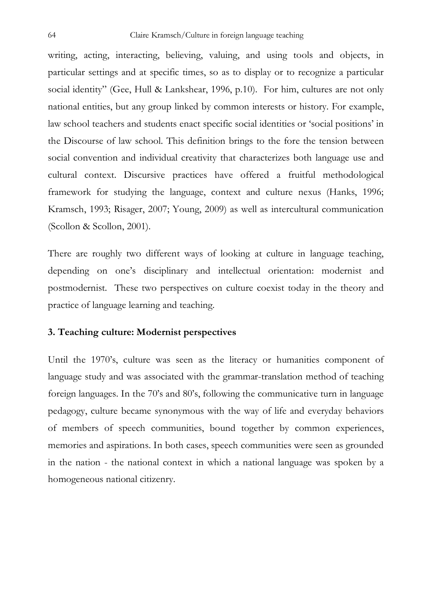writing, acting, interacting, believing, valuing, and using tools and objects, in particular settings and at specific times, so as to display or to recognize a particular social identity" (Gee, Hull & Lankshear, 1996, p.10). For him, cultures are not only national entities, but any group linked by common interests or history. For example, law school teachers and students enact specific social identities or 'social positions' in the Discourse of law school. This definition brings to the fore the tension between social convention and individual creativity that characterizes both language use and cultural context. Discursive practices have offered a fruitful methodological framework for studying the language, context and culture nexus (Hanks, 1996; Kramsch, 1993; Risager, 2007; Young, 2009) as well as intercultural communication (Scollon & Scollon, 2001).

There are roughly two different ways of looking at culture in language teaching, depending on one's disciplinary and intellectual orientation: modernist and postmodernist. These two perspectives on culture coexist today in the theory and practice of language learning and teaching.

## **3. Teaching culture: Modernist perspectives**

Until the 1970's, culture was seen as the literacy or humanities component of language study and was associated with the grammar-translation method of teaching foreign languages. In the 70's and 80's, following the communicative turn in language pedagogy, culture became synonymous with the way of life and everyday behaviors of members of speech communities, bound together by common experiences, memories and aspirations. In both cases, speech communities were seen as grounded in the nation - the national context in which a national language was spoken by a homogeneous national citizenry.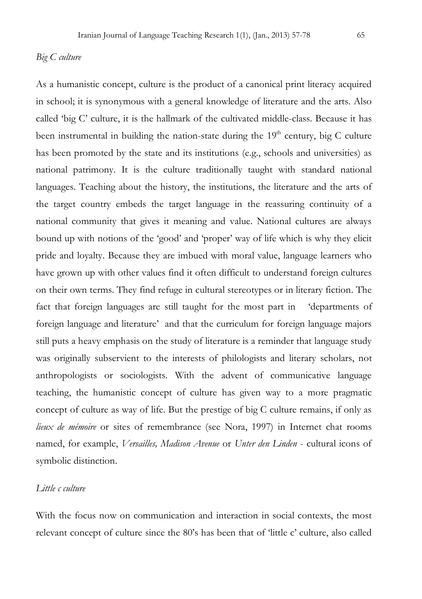*Big C culture* 

As a humanistic concept, culture is the product of a canonical print literacy acquired in school; it is synonymous with a general knowledge of literature and the arts. Also called 'big C' culture, it is the hallmark of the cultivated middle-class. Because it has been instrumental in building the nation-state during the  $19<sup>th</sup>$  century, big C culture has been promoted by the state and its institutions (e.g., schools and universities) as national patrimony. It is the culture traditionally taught with standard national languages. Teaching about the history, the institutions, the literature and the arts of the target country embeds the target language in the reassuring continuity of a national community that gives it meaning and value. National cultures are always bound up with notions of the 'good' and 'proper' way of life which is why they elicit pride and loyalty. Because they are imbued with moral value, language learners who have grown up with other values find it often difficult to understand foreign cultures on their own terms. They find refuge in cultural stereotypes or in literary fiction. The fact that foreign languages are still taught for the most part in 'departments of foreign language and literature' and that the curriculum for foreign language majors still puts a heavy emphasis on the study of literature is a reminder that language study was originally subservient to the interests of philologists and literary scholars, not anthropologists or sociologists. With the advent of communicative language teaching, the humanistic concept of culture has given way to a more pragmatic concept of culture as way of life. But the prestige of big C culture remains, if only as *lieux de mémoire* or sites of remembrance (see Nora, 1997) in Internet chat rooms named, for example, *Versailles, Madison Avenue* or *Unter den Linden* - cultural icons of symbolic distinction.

## *Little c culture*

With the focus now on communication and interaction in social contexts, the most relevant concept of culture since the 80's has been that of 'little c' culture, also called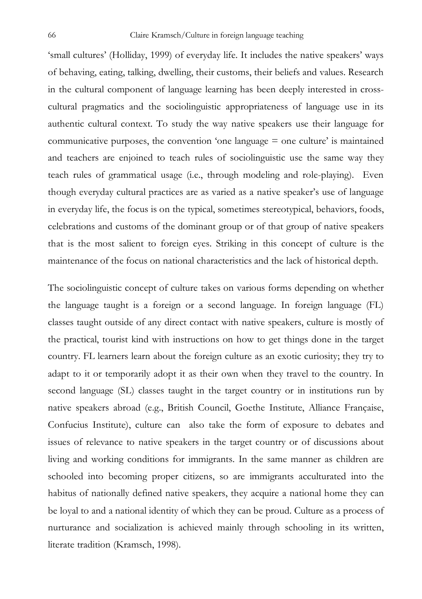'small cultures' (Holliday, 1999) of everyday life. It includes the native speakers' ways of behaving, eating, talking, dwelling, their customs, their beliefs and values. Research in the cultural component of language learning has been deeply interested in crosscultural pragmatics and the sociolinguistic appropriateness of language use in its authentic cultural context. To study the way native speakers use their language for communicative purposes, the convention 'one language  $=$  one culture' is maintained and teachers are enjoined to teach rules of sociolinguistic use the same way they teach rules of grammatical usage (i.e., through modeling and role-playing). Even though everyday cultural practices are as varied as a native speaker's use of language in everyday life, the focus is on the typical, sometimes stereotypical, behaviors, foods, celebrations and customs of the dominant group or of that group of native speakers that is the most salient to foreign eyes. Striking in this concept of culture is the maintenance of the focus on national characteristics and the lack of historical depth.

The sociolinguistic concept of culture takes on various forms depending on whether the language taught is a foreign or a second language. In foreign language (FL) classes taught outside of any direct contact with native speakers, culture is mostly of the practical, tourist kind with instructions on how to get things done in the target country. FL learners learn about the foreign culture as an exotic curiosity; they try to adapt to it or temporarily adopt it as their own when they travel to the country. In second language (SL) classes taught in the target country or in institutions run by native speakers abroad (e.g., British Council, Goethe Institute, Alliance Française, Confucius Institute), culture can also take the form of exposure to debates and issues of relevance to native speakers in the target country or of discussions about living and working conditions for immigrants. In the same manner as children are schooled into becoming proper citizens, so are immigrants acculturated into the habitus of nationally defined native speakers, they acquire a national home they can be loyal to and a national identity of which they can be proud. Culture as a process of nurturance and socialization is achieved mainly through schooling in its written, literate tradition (Kramsch, 1998).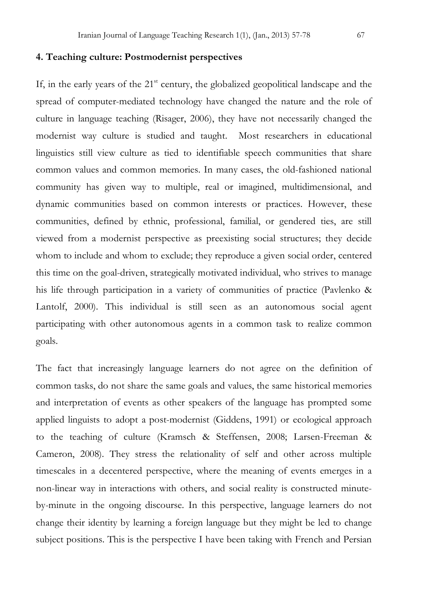#### **4. Teaching culture: Postmodernist perspectives**

If, in the early years of the  $21<sup>st</sup>$  century, the globalized geopolitical landscape and the spread of computer-mediated technology have changed the nature and the role of culture in language teaching (Risager, 2006), they have not necessarily changed the modernist way culture is studied and taught. Most researchers in educational linguistics still view culture as tied to identifiable speech communities that share common values and common memories. In many cases, the old-fashioned national community has given way to multiple, real or imagined, multidimensional, and dynamic communities based on common interests or practices. However, these communities, defined by ethnic, professional, familial, or gendered ties, are still viewed from a modernist perspective as preexisting social structures; they decide whom to include and whom to exclude; they reproduce a given social order, centered this time on the goal-driven, strategically motivated individual, who strives to manage his life through participation in a variety of communities of practice (Pavlenko & Lantolf, 2000). This individual is still seen as an autonomous social agent participating with other autonomous agents in a common task to realize common goals.

The fact that increasingly language learners do not agree on the definition of common tasks, do not share the same goals and values, the same historical memories and interpretation of events as other speakers of the language has prompted some applied linguists to adopt a post-modernist (Giddens, 1991) or ecological approach to the teaching of culture (Kramsch & Steffensen, 2008; Larsen-Freeman & Cameron, 2008). They stress the relationality of self and other across multiple timescales in a decentered perspective, where the meaning of events emerges in a non-linear way in interactions with others, and social reality is constructed minuteby-minute in the ongoing discourse. In this perspective, language learners do not change their identity by learning a foreign language but they might be led to change subject positions. This is the perspective I have been taking with French and Persian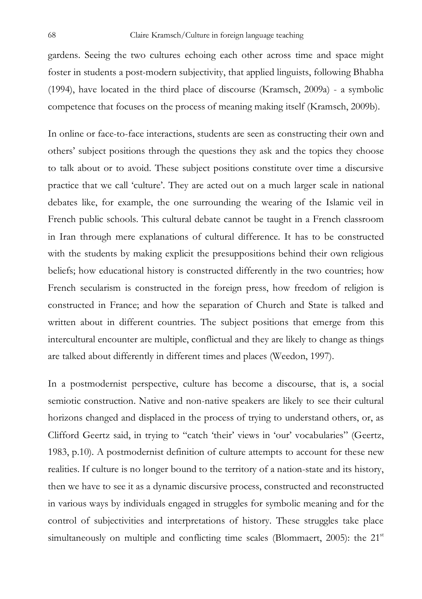gardens. Seeing the two cultures echoing each other across time and space might foster in students a post-modern subjectivity, that applied linguists, following Bhabha (1994), have located in the third place of discourse (Kramsch, 2009a) - a symbolic competence that focuses on the process of meaning making itself (Kramsch, 2009b).

In online or face-to-face interactions, students are seen as constructing their own and others' subject positions through the questions they ask and the topics they choose to talk about or to avoid. These subject positions constitute over time a discursive practice that we call 'culture'. They are acted out on a much larger scale in national debates like, for example, the one surrounding the wearing of the Islamic veil in French public schools. This cultural debate cannot be taught in a French classroom in Iran through mere explanations of cultural difference. It has to be constructed with the students by making explicit the presuppositions behind their own religious beliefs; how educational history is constructed differently in the two countries; how French secularism is constructed in the foreign press, how freedom of religion is constructed in France; and how the separation of Church and State is talked and written about in different countries. The subject positions that emerge from this intercultural encounter are multiple, conflictual and they are likely to change as things are talked about differently in different times and places (Weedon, 1997).

In a postmodernist perspective, culture has become a discourse, that is, a social semiotic construction. Native and non-native speakers are likely to see their cultural horizons changed and displaced in the process of trying to understand others, or, as Clifford Geertz said, in trying to "catch 'their' views in 'our' vocabularies" (Geertz, 1983, p.10). A postmodernist definition of culture attempts to account for these new realities. If culture is no longer bound to the territory of a nation-state and its history, then we have to see it as a dynamic discursive process, constructed and reconstructed in various ways by individuals engaged in struggles for symbolic meaning and for the control of subjectivities and interpretations of history. These struggles take place simultaneously on multiple and conflicting time scales (Blommaert, 2005): the  $21<sup>st</sup>$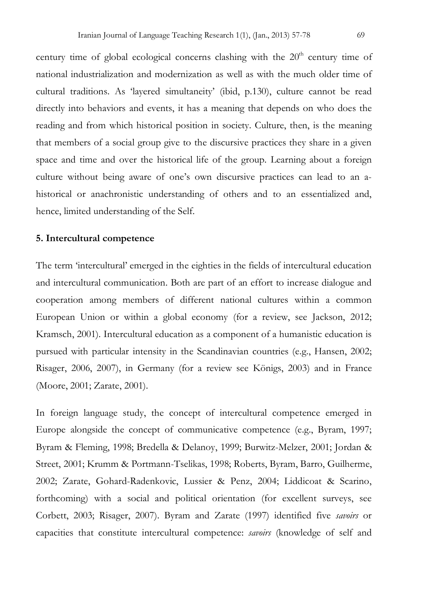century time of global ecological concerns clashing with the  $20<sup>th</sup>$  century time of national industrialization and modernization as well as with the much older time of cultural traditions. As 'layered simultaneity' (ibid, p.130), culture cannot be read directly into behaviors and events, it has a meaning that depends on who does the reading and from which historical position in society. Culture, then, is the meaning that members of a social group give to the discursive practices they share in a given space and time and over the historical life of the group*.* Learning about a foreign culture without being aware of one's own discursive practices can lead to an ahistorical or anachronistic understanding of others and to an essentialized and, hence, limited understanding of the Self.

## **5. Intercultural competence**

The term 'intercultural' emerged in the eighties in the fields of intercultural education and intercultural communication. Both are part of an effort to increase dialogue and cooperation among members of different national cultures within a common European Union or within a global economy (for a review, see Jackson, 2012; Kramsch, 2001). Intercultural education as a component of a humanistic education is pursued with particular intensity in the Scandinavian countries (e.g., Hansen, 2002; Risager, 2006, 2007), in Germany (for a review see Königs, 2003) and in France (Moore, 2001; Zarate, 2001).

In foreign language study, the concept of intercultural competence emerged in Europe alongside the concept of communicative competence (e.g., Byram, 1997; Byram & Fleming, 1998; Bredella & Delanoy, 1999; Burwitz-Melzer, 2001; Jordan & Street, 2001; Krumm & Portmann-Tselikas, 1998; Roberts, Byram, Barro, Guilherme, 2002; Zarate, Gohard-Radenkovic, Lussier & Penz, 2004; Liddicoat & Scarino, forthcoming) with a social and political orientation (for excellent surveys, see Corbett, 2003; Risager, 2007). Byram and Zarate (1997) identified five *savoirs* or capacities that constitute intercultural competence: *savoirs* (knowledge of self and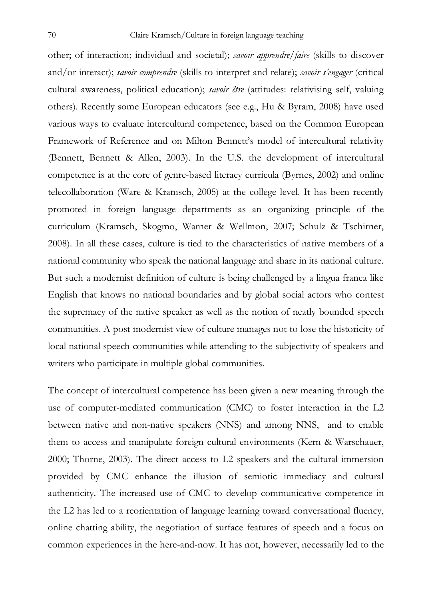other; of interaction; individual and societal); *savoir apprendre/faire* (skills to discover and/or interact); *savoir comprendre* (skills to interpret and relate); *savoir s'engager* (critical cultural awareness, political education); *savoir être* (attitudes: relativising self, valuing others). Recently some European educators (see e.g., Hu & Byram, 2008) have used various ways to evaluate intercultural competence, based on the Common European Framework of Reference and on Milton Bennett's model of intercultural relativity (Bennett, Bennett & Allen, 2003). In the U.S. the development of intercultural competence is at the core of genre-based literacy curricula (Byrnes, 2002) and online telecollaboration (Ware & Kramsch, 2005) at the college level. It has been recently promoted in foreign language departments as an organizing principle of the curriculum (Kramsch, Skogmo, Warner & Wellmon, 2007; Schulz & Tschirner, 2008). In all these cases, culture is tied to the characteristics of native members of a national community who speak the national language and share in its national culture. But such a modernist definition of culture is being challenged by a lingua franca like English that knows no national boundaries and by global social actors who contest the supremacy of the native speaker as well as the notion of neatly bounded speech communities. A post modernist view of culture manages not to lose the historicity of local national speech communities while attending to the subjectivity of speakers and writers who participate in multiple global communities.

The concept of intercultural competence has been given a new meaning through the use of computer-mediated communication (CMC) to foster interaction in the L2 between native and non-native speakers (NNS) and among NNS, and to enable them to access and manipulate foreign cultural environments (Kern & Warschauer, 2000; Thorne, 2003). The direct access to L2 speakers and the cultural immersion provided by CMC enhance the illusion of semiotic immediacy and cultural authenticity. The increased use of CMC to develop communicative competence in the L2 has led to a reorientation of language learning toward conversational fluency, online chatting ability, the negotiation of surface features of speech and a focus on common experiences in the here-and-now. It has not, however, necessarily led to the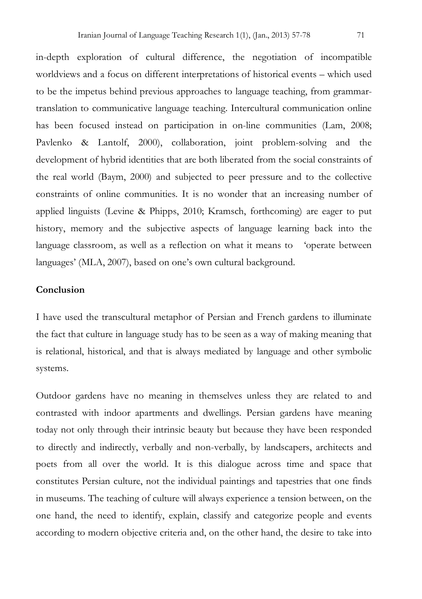in-depth exploration of cultural difference, the negotiation of incompatible worldviews and a focus on different interpretations of historical events – which used to be the impetus behind previous approaches to language teaching, from grammartranslation to communicative language teaching. Intercultural communication online has been focused instead on participation in on-line communities (Lam, 2008; Pavlenko & Lantolf, 2000), collaboration, joint problem-solving and the development of hybrid identities that are both liberated from the social constraints of the real world (Baym, 2000) and subjected to peer pressure and to the collective constraints of online communities. It is no wonder that an increasing number of applied linguists (Levine & Phipps, 2010; Kramsch, forthcoming) are eager to put history, memory and the subjective aspects of language learning back into the language classroom, as well as a reflection on what it means to 'operate between languages' (MLA, 2007), based on one's own cultural background.

### **Conclusion**

I have used the transcultural metaphor of Persian and French gardens to illuminate the fact that culture in language study has to be seen as a way of making meaning that is relational, historical, and that is always mediated by language and other symbolic systems.

Outdoor gardens have no meaning in themselves unless they are related to and contrasted with indoor apartments and dwellings. Persian gardens have meaning today not only through their intrinsic beauty but because they have been responded to directly and indirectly, verbally and non-verbally, by landscapers, architects and poets from all over the world. It is this dialogue across time and space that constitutes Persian culture, not the individual paintings and tapestries that one finds in museums. The teaching of culture will always experience a tension between, on the one hand, the need to identify, explain, classify and categorize people and events according to modern objective criteria and, on the other hand, the desire to take into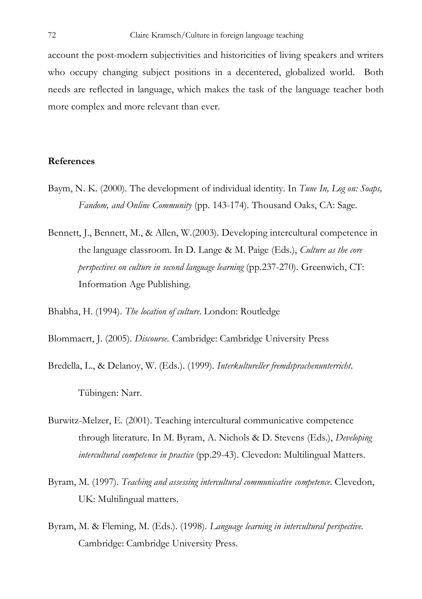account the post-modern subjectivities and historicities of living speakers and writers who occupy changing subject positions in a decentered, globalized world. Both needs are reflected in language, which makes the task of the language teacher both more complex and more relevant than ever.

#### **References**

- Baym, N. K. (2000). The development of individual identity. In *Tune In, Log on: Soaps, Fandom, and Online Community* (pp. 143-174). Thousand Oaks, CA: Sage.
- Bennett, J., Bennett, M., & Allen, W.(2003). Developing intercultural competence in the language classroom. In D. Lange & M. Paige (Eds.), *Culture as the core perspectives on culture in second language learning* (pp.237-270). Greenwich, CT: Information Age Publishing.

Bhabha, H. (1994). *The location of culture*. London: Routledge

- Blommaert, J. (2005). *Discourse.* Cambridge: Cambridge University Press
- Bredella, L., & Delanoy, W. (Eds.). (1999). *Interkultureller fremdsprachenunterricht*. Tübingen: Narr.
- Burwitz-Melzer, E. (2001). Teaching intercultural communicative competence through literature. In M. Byram, A. Nichols & D. Stevens (Eds.), *Developing intercultural competence in practice* (pp.29-43). Clevedon: Multilingual Matters.
- Byram, M. (1997). *Teaching and assessing intercultural communicative competence.* Clevedon, UK: Multilingual matters.
- Byram, M. & Fleming, M. (Eds.). (1998). *Language learning in intercultural perspective.* Cambridge: Cambridge University Press.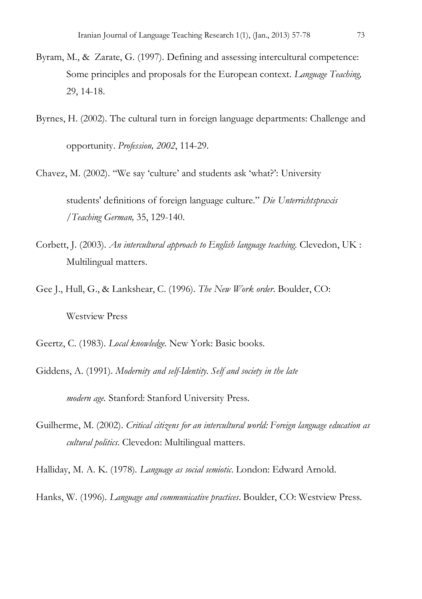- Byram, M., & Zarate, G. (1997). Defining and assessing intercultural competence: Some principles and proposals for the European context. *Language Teaching,* 29, 14-18.
- Byrnes, H. (2002). The cultural turn in foreign language departments: Challenge and opportunity. *Profession, 2002*, 114-29.
- Chavez, M. (2002). "We say 'culture' and students ask 'what?': University students' definitions of foreign language culture." *Die Unterrichtspraxis /Teaching German,* 35, 129-140.
- Corbett, J. (2003). *An intercultural approach to English language teaching.* Clevedon, UK : Multilingual matters.
- Gee J., Hull, G., & Lankshear, C. (1996). *The New Work order*. Boulder, CO:

Westview Press

- Geertz, C. (1983). *Local knowledge.* New York: Basic books.
- Giddens, A. (1991). *Modernity and self-Identity. Self and society in the late*

 *modern age.* Stanford: Stanford University Press*.* 

Guilherme, M. (2002). *Critical citizens for an intercultural world: Foreign language education as cultural politics*. Clevedon: Multilingual matters.

Halliday, M. A. K. (1978)*. Language as social semiotic*. London: Edward Arnold.

Hanks, W. (1996). *Language and communicative practices*. Boulder, CO: Westview Press.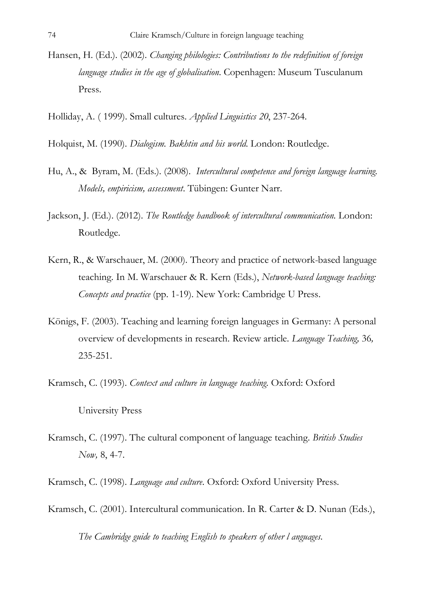- Hansen, H. (Ed.). (2002). *Changing philologies: Contributions to the redefinition of foreign language studies in the age of globalisation*. Copenhagen: Museum Tusculanum Press.
- Holliday, A. ( 1999). Small cultures. *Applied Linguistics 20*, 237-264.
- Holquist, M. (1990). *Dialogism. Bakhtin and his world.* London: Routledge.
- Hu, A., & Byram, M. (Eds.). (2008). *Intercultural competence and foreign language learning. Models, empiricism, assessment*. Tübingen: Gunter Narr.
- Jackson, J. (Ed.). (2012). *The Routledge handbook of intercultural communication.* London: Routledge.
- Kern, R., & Warschauer, M. (2000). Theory and practice of network-based language teaching. In M. Warschauer & R. Kern (Eds.), *Network-based language teaching: Concepts and practice* (pp. 1-19). New York: Cambridge U Press.
- Königs, F. (2003). Teaching and learning foreign languages in Germany: A personal overview of developments in research. Review article. *Language Teaching,* 36*,* 235-251.
- Kramsch, C. (1993). *Context and culture in language teaching*. Oxford: Oxford

University Press

- Kramsch, C. (1997). The cultural component of language teaching. *British Studies Now,* 8, 4-7.
- Kramsch, C. (1998). *Language and culture*. Oxford: Oxford University Press.
- Kramsch, C. (2001). Intercultural communication. In R. Carter & D. Nunan (Eds.),

*The Cambridge guide to teaching English to speakers of other l anguages.*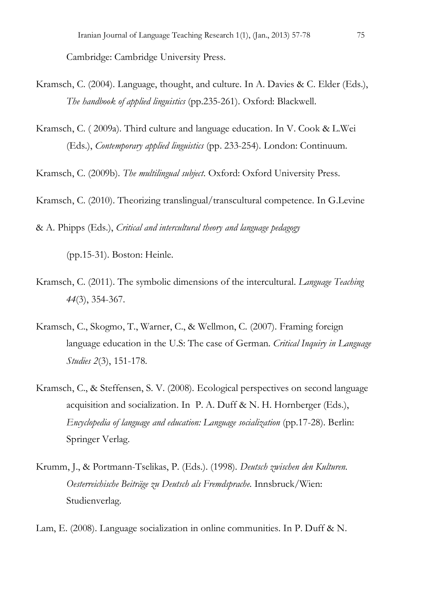Cambridge: Cambridge University Press.

- Kramsch, C. (2004). Language, thought, and culture. In A. Davies & C. Elder (Eds.), *The handbook of applied linguistics* (pp.235-261). Oxford: Blackwell.
- Kramsch, C. ( 2009a). Third culture and language education. In V. Cook & L.Wei (Eds.), *Contemporary applied linguistics* (pp. 233-254). London: Continuum.

Kramsch, C. (2009b). *The multilingual subject*. Oxford: Oxford University Press.

Kramsch, C. (2010). Theorizing translingual/transcultural competence. In G.Levine

& A. Phipps (Eds.), *Critical and intercultural theory and language pedagogy*

(pp.15-31). Boston: Heinle.

- Kramsch, C. (2011). The symbolic dimensions of the intercultural. *Language Teaching 44*(3), 354-367.
- Kramsch, C., Skogmo, T., Warner, C., & Wellmon, C. (2007). Framing foreign language education in the U.S: The case of German. *Critical Inquiry in Language Studies 2*(3), 151-178.
- Kramsch, C., & Steffensen, S. V. (2008). Ecological perspectives on second language acquisition and socialization. In P. A. Duff & N. H. Hornberger (Eds.), *Encyclopedia of language and education: Language socialization* (pp.17-28). Berlin: Springer Verlag.
- Krumm, J., & Portmann-Tselikas, P. (Eds.). (1998). *Deutsch zwischen den Kulturen. Oesterreichische Beiträge zu Deutsch als Fremdsprache.* Innsbruck/Wien: Studienverlag.

Lam, E. (2008). Language socialization in online communities. In P. Duff & N.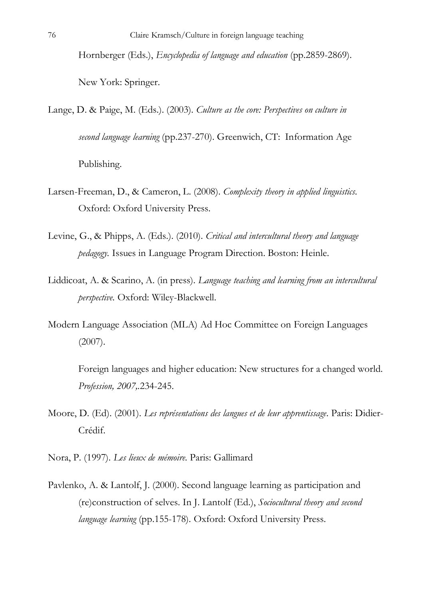Hornberger (Eds.), *Encyclopedia of language and education* (pp.2859-2869).

New York: Springer.

- Lange, D. & Paige, M. (Eds.). (2003). *Culture as the core: Perspectives on culture in second language learning* (pp.237-270). Greenwich, CT: Information Age Publishing.
- Larsen-Freeman, D., & Cameron, L. (2008). *Complexity theory in applied linguistics.* Oxford: Oxford University Press.
- Levine, G., & Phipps, A. (Eds.). (2010). *Critical and intercultural theory and language pedagogy.* Issues in Language Program Direction. Boston: Heinle.
- Liddicoat, A. & Scarino, A. (in press). *Language teaching and learning from an intercultural perspective.* Oxford: Wiley-Blackwell.
- Modern Language Association (MLA) Ad Hoc Committee on Foreign Languages (2007).

 Foreign languages and higher education: New structures for a changed world. *Profession, 2007,.*234-245.

- Moore, D. (Ed). (2001). *Les représentations des langues et de leur apprentissage*. Paris: Didier-Crédif.
- Nora, P. (1997). *Les lieux de mémoire.* Paris: Gallimard
- Pavlenko, A. & Lantolf, J. (2000). Second language learning as participation and (re)construction of selves. In J. Lantolf (Ed.), *Sociocultural theory and second language learning* (pp.155-178). Oxford: Oxford University Press.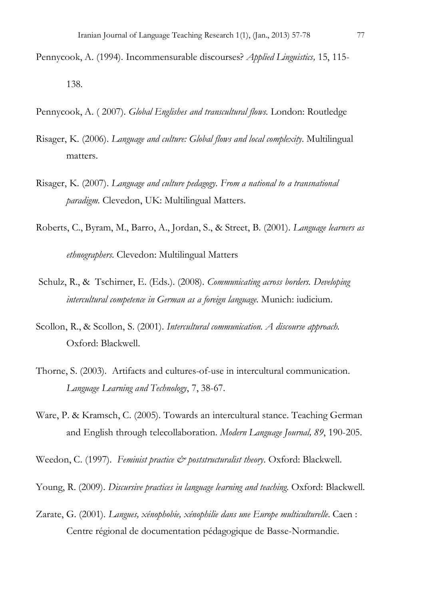Pennycook, A. (1994). Incommensurable discourses? *Applied Linguistics,* 15, 115- 138.

Pennycook, A. ( 2007). *Global Englishes and transcultural flows.* London: Routledge

- Risager, K. (2006). *Language and culture: Global flows and local complexity.* Multilingual matters.
- Risager, K. (2007). *Language and culture pedagogy. From a national to a transnational paradigm*. Clevedon, UK: Multilingual Matters.
- Roberts, C., Byram, M., Barro, A., Jordan, S., & Street, B. (2001). *Language learners as ethnographers.* Clevedon: Multilingual Matters
- Schulz, R., & Tschirner, E. (Eds.). (2008). *Communicating across borders. Developing intercultural competence in German as a foreign language.* Munich: iudicium.
- Scollon, R., & Scollon, S. (2001). *Intercultural communication. A discourse approach.*  Oxford: Blackwell.
- Thorne, S. (2003). Artifacts and cultures-of-use in intercultural communication. *Language Learning and Technology*, 7, 38-67.
- Ware, P. & Kramsch, C. (2005). Towards an intercultural stance. Teaching German and English through telecollaboration. *Modern Language Journal, 89*, 190-205.

Weedon, C. (1997). *Feminist practice*  $\mathcal{C}^*$  *poststructuralist theory*. Oxford: Blackwell.

Young, R. (2009). *Discursive practices in language learning and teaching*. Oxford: Blackwell.

Zarate, G. (2001). *Langues, xénophobie, xénophilie dans une Europe multiculturelle*. Caen : Centre régional de documentation pédagogique de Basse-Normandie.